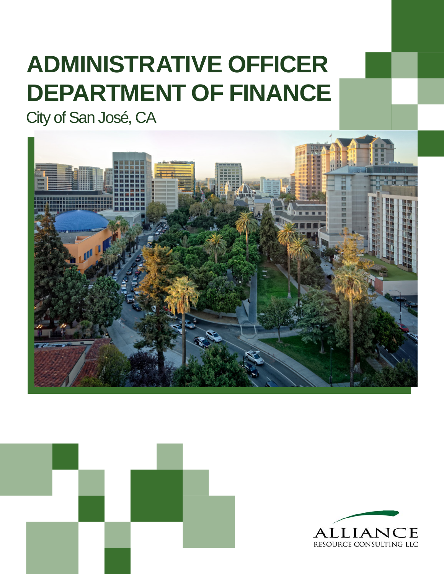# **ADMINISTRATIVE OFFICER DEPARTMENT OF FINANCE**

City of San José, CA





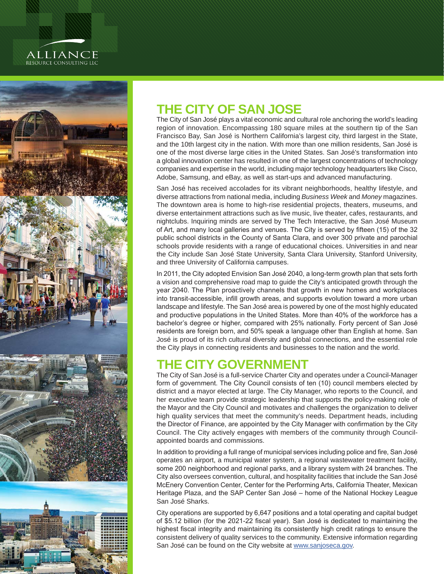#### **ALLIANCE** RESOURCE CONSULTING LLC



## **THE CITY OF SAN JOSE**

The City of San José plays a vital economic and cultural role anchoring the world's leading region of innovation. Encompassing 180 square miles at the southern tip of the San Francisco Bay, San José is Northern California's largest city, third largest in the State, and the 10th largest city in the nation. With more than one million residents, San José is one of the most diverse large cities in the United States. San José's transformation into a global innovation center has resulted in one of the largest concentrations of technology companies and expertise in the world, including major technology headquarters like Cisco, Adobe, Samsung, and eBay, as well as start-ups and advanced manufacturing.

San José has received accolades for its vibrant neighborhoods, healthy lifestyle, and diverse attractions from national media, including *Business Week* and *Money* magazines. The downtown area is home to high-rise residential projects, theaters, museums, and diverse entertainment attractions such as live music, live theater, cafes, restaurants, and nightclubs. Inquiring minds are served by The Tech Interactive, the San José Museum of Art, and many local galleries and venues. The City is served by fifteen (15) of the 32 public school districts in the County of Santa Clara, and over 300 private and parochial schools provide residents with a range of educational choices. Universities in and near the City include San José State University, Santa Clara University, Stanford University, and three University of California campuses.

In 2011, the City adopted Envision San José 2040, a long-term growth plan that sets forth a vision and comprehensive road map to guide the City's anticipated growth through the year 2040. The Plan proactively channels that growth in new homes and workplaces into transit-accessible, infill growth areas, and supports evolution toward a more urban landscape and lifestyle. The San José area is powered by one of the most highly educated and productive populations in the United States. More than 40% of the workforce has a bachelor's degree or higher, compared with 25% nationally. Forty percent of San José residents are foreign born, and 50% speak a language other than English at home. San José is proud of its rich cultural diversity and global connections, and the essential role the City plays in connecting residents and businesses to the nation and the world.

# **THE CITY GOVERNMENT**

The City of San José is a full-service Charter City and operates under a Council-Manager form of government. The City Council consists of ten (10) council members elected by district and a mayor elected at large. The City Manager, who reports to the Council, and her executive team provide strategic leadership that supports the policy-making role of the Mayor and the City Council and motivates and challenges the organization to deliver high quality services that meet the community's needs. Department heads, including the Director of Finance, are appointed by the City Manager with confirmation by the City Council. The City actively engages with members of the community through Councilappointed boards and commissions.

In addition to providing a full range of municipal services including police and fire, San José operates an airport, a municipal water system, a regional wastewater treatment facility, some 200 neighborhood and regional parks, and a library system with 24 branches. The City also oversees convention, cultural, and hospitality facilities that include the San José McEnery Convention Center, Center for the Performing Arts, California Theater, Mexican Heritage Plaza, and the SAP Center San José – home of the National Hockey League San José Sharks.

City operations are supported by 6,647 positions and a total operating and capital budget of \$5.12 billion (for the 2021-22 fiscal year). San José is dedicated to maintaining the highest fiscal integrity and maintaining its consistently high credit ratings to ensure the consistent delivery of quality services to the community. Extensive information regarding San José can be found on the City website at [www.sanjoseca.gov](http://www.sanjoseca.gov).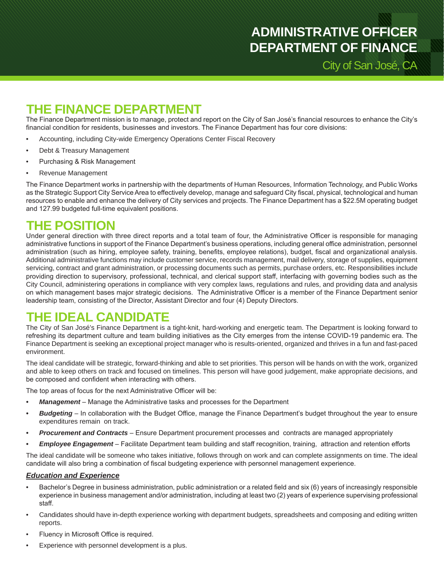City of San José, CA

## **THE FINANCE DEPARTMENT**

The Finance Department mission is to manage, protect and report on the City of San José's financial resources to enhance the City's financial condition for residents, businesses and investors. The Finance Department has four core divisions:

- Accounting, including City-wide Emergency Operations Center Fiscal Recovery
- Debt & Treasury Management
- Purchasing & Risk Management
- Revenue Management

The Finance Department works in partnership with the departments of Human Resources, Information Technology, and Public Works as the Strategic Support City Service Area to effectively develop, manage and safeguard City fiscal, physical, technological and human resources to enable and enhance the delivery of City services and projects. The Finance Department has a \$22.5M operating budget and 127.99 budgeted full-time equivalent positions.

#### **THE POSITION**

Under general direction with three direct reports and a total team of four, the Administrative Officer is responsible for managing administrative functions in support of the Finance Department's business operations, including general office administration, personnel administration (such as hiring, employee safety, training, benefits, employee relations), budget, fiscal and organizational analysis. Additional administrative functions may include customer service, records management, mail delivery, storage of supplies, equipment servicing, contract and grant administration, or processing documents such as permits, purchase orders, etc. Responsibilities include providing direction to supervisory, professional, technical, and clerical support staff, interfacing with governing bodies such as the City Council, administering operations in compliance with very complex laws, regulations and rules, and providing data and analysis on which management bases major strategic decisions. The Administrative Officer is a member of the Finance Department senior leadership team, consisting of the Director, Assistant Director and four (4) Deputy Directors.

## **THE IDEAL CANDIDATE**

The City of San José's Finance Department is a tight-knit, hard-working and energetic team. The Department is looking forward to refreshing its department culture and team building initiatives as the City emerges from the intense COVID-19 pandemic era. The Finance Department is seeking an exceptional project manager who is results-oriented, organized and thrives in a fun and fast-paced environment.

The ideal candidate will be strategic, forward-thinking and able to set priorities. This person will be hands on with the work, organized and able to keep others on track and focused on timelines. This person will have good judgement, make appropriate decisions, and be composed and confident when interacting with others.

The top areas of focus for the next Administrative Officer will be:

- *• Management* Manage the Administrative tasks and processes for the Department
- *• Budgeting* In collaboration with the Budget Office, manage the Finance Department's budget throughout the year to ensure expenditures remain on track.
- *• Procurement and Contracts* Ensure Department procurement processes and contracts are managed appropriately
- *• Employee Engagement* Facilitate Department team building and staff recognition, training, attraction and retention efforts

The ideal candidate will be someone who takes initiative, follows through on work and can complete assignments on time. The ideal candidate will also bring a combination of fiscal budgeting experience with personnel management experience.

#### *Education and Experience*

- Bachelor's Degree in business administration, public administration or a related field and six (6) years of increasingly responsible experience in business management and/or administration, including at least two (2) years of experience supervising professional staff.
- Candidates should have in-depth experience working with department budgets, spreadsheets and composing and editing written reports.
- Fluency in Microsoft Office is required.
- Experience with personnel development is a plus.